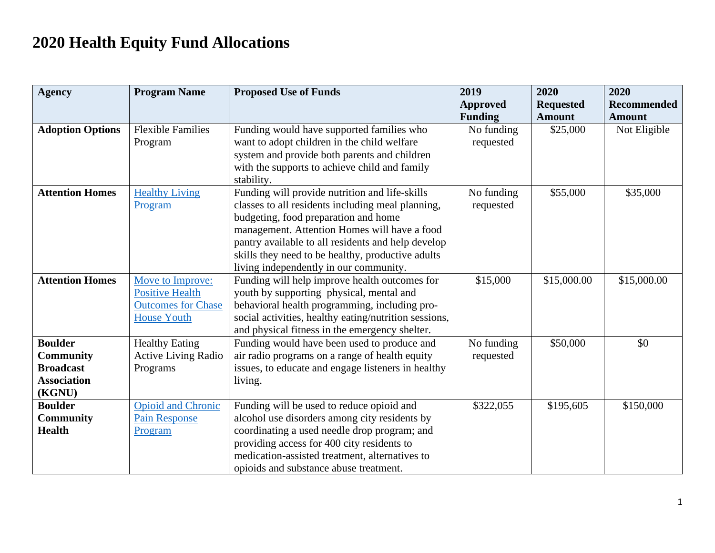## **2020 Health Equity Fund Allocations**

| <b>Agency</b>                     | <b>Program Name</b>        | <b>Proposed Use of Funds</b>                                                                 | 2019            | 2020             | 2020               |
|-----------------------------------|----------------------------|----------------------------------------------------------------------------------------------|-----------------|------------------|--------------------|
|                                   |                            |                                                                                              | <b>Approved</b> | <b>Requested</b> | <b>Recommended</b> |
|                                   |                            |                                                                                              | <b>Funding</b>  | <b>Amount</b>    | <b>Amount</b>      |
| <b>Adoption Options</b>           | <b>Flexible Families</b>   | Funding would have supported families who                                                    | No funding      | \$25,000         | Not Eligible       |
|                                   | Program                    | want to adopt children in the child welfare                                                  | requested       |                  |                    |
|                                   |                            | system and provide both parents and children                                                 |                 |                  |                    |
|                                   |                            | with the supports to achieve child and family                                                |                 |                  |                    |
|                                   |                            | stability.                                                                                   |                 |                  |                    |
| <b>Attention Homes</b>            | <b>Healthy Living</b>      | Funding will provide nutrition and life-skills                                               | No funding      | \$55,000         | \$35,000           |
|                                   | Program                    | classes to all residents including meal planning,                                            | requested       |                  |                    |
|                                   |                            | budgeting, food preparation and home                                                         |                 |                  |                    |
|                                   |                            | management. Attention Homes will have a food                                                 |                 |                  |                    |
|                                   |                            | pantry available to all residents and help develop                                           |                 |                  |                    |
|                                   |                            | skills they need to be healthy, productive adults                                            |                 |                  |                    |
|                                   |                            | living independently in our community.                                                       |                 |                  |                    |
| <b>Attention Homes</b>            | Move to Improve:           | Funding will help improve health outcomes for                                                | \$15,000        | \$15,000.00      | \$15,000.00        |
|                                   | <b>Positive Health</b>     | youth by supporting physical, mental and                                                     |                 |                  |                    |
|                                   | <b>Outcomes for Chase</b>  | behavioral health programming, including pro-                                                |                 |                  |                    |
|                                   | <b>House Youth</b>         | social activities, healthy eating/nutrition sessions,                                        |                 |                  |                    |
|                                   |                            | and physical fitness in the emergency shelter.                                               |                 |                  |                    |
| <b>Boulder</b>                    | <b>Healthy Eating</b>      | Funding would have been used to produce and                                                  | No funding      | \$50,000         | \$0                |
| <b>Community</b>                  | <b>Active Living Radio</b> | air radio programs on a range of health equity                                               | requested       |                  |                    |
| <b>Broadcast</b>                  | Programs                   | issues, to educate and engage listeners in healthy                                           |                 |                  |                    |
| <b>Association</b>                |                            | living.                                                                                      |                 |                  |                    |
| (KGNU)                            |                            |                                                                                              |                 |                  |                    |
| <b>Boulder</b>                    | <b>Opioid and Chronic</b>  | Funding will be used to reduce opioid and                                                    | \$322,055       | \$195,605        | \$150,000          |
| <b>Community</b><br><b>Health</b> | <b>Pain Response</b>       | alcohol use disorders among city residents by                                                |                 |                  |                    |
|                                   | Program                    | coordinating a used needle drop program; and                                                 |                 |                  |                    |
|                                   |                            | providing access for 400 city residents to<br>medication-assisted treatment, alternatives to |                 |                  |                    |
|                                   |                            |                                                                                              |                 |                  |                    |
|                                   |                            | opioids and substance abuse treatment.                                                       |                 |                  |                    |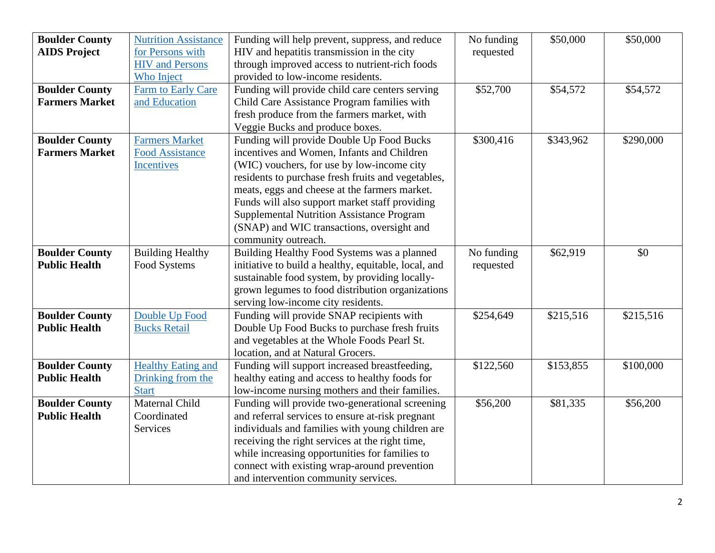| <b>Boulder County</b> | <b>Nutrition Assistance</b> | Funding will help prevent, suppress, and reduce      | No funding | \$50,000  | \$50,000  |
|-----------------------|-----------------------------|------------------------------------------------------|------------|-----------|-----------|
| <b>AIDS Project</b>   | for Persons with            | HIV and hepatitis transmission in the city           | requested  |           |           |
|                       | <b>HIV</b> and Persons      | through improved access to nutrient-rich foods       |            |           |           |
|                       | Who Inject                  | provided to low-income residents.                    |            |           |           |
| <b>Boulder County</b> | Farm to Early Care          | Funding will provide child care centers serving      | \$52,700   | \$54,572  | \$54,572  |
| <b>Farmers Market</b> | and Education               | Child Care Assistance Program families with          |            |           |           |
|                       |                             | fresh produce from the farmers market, with          |            |           |           |
|                       |                             | Veggie Bucks and produce boxes.                      |            |           |           |
| <b>Boulder County</b> | <b>Farmers Market</b>       | Funding will provide Double Up Food Bucks            | \$300,416  | \$343,962 | \$290,000 |
| <b>Farmers Market</b> | <b>Food Assistance</b>      | incentives and Women, Infants and Children           |            |           |           |
|                       | <b>Incentives</b>           | (WIC) vouchers, for use by low-income city           |            |           |           |
|                       |                             | residents to purchase fresh fruits and vegetables,   |            |           |           |
|                       |                             | meats, eggs and cheese at the farmers market.        |            |           |           |
|                       |                             | Funds will also support market staff providing       |            |           |           |
|                       |                             | <b>Supplemental Nutrition Assistance Program</b>     |            |           |           |
|                       |                             | (SNAP) and WIC transactions, oversight and           |            |           |           |
|                       |                             | community outreach.                                  |            |           |           |
| <b>Boulder County</b> | <b>Building Healthy</b>     | Building Healthy Food Systems was a planned          | No funding | \$62,919  | \$0       |
| <b>Public Health</b>  | Food Systems                | initiative to build a healthy, equitable, local, and | requested  |           |           |
|                       |                             | sustainable food system, by providing locally-       |            |           |           |
|                       |                             | grown legumes to food distribution organizations     |            |           |           |
|                       |                             | serving low-income city residents.                   |            |           |           |
| <b>Boulder County</b> | Double Up Food              | Funding will provide SNAP recipients with            | \$254,649  | \$215,516 | \$215,516 |
| <b>Public Health</b>  | <b>Bucks Retail</b>         | Double Up Food Bucks to purchase fresh fruits        |            |           |           |
|                       |                             | and vegetables at the Whole Foods Pearl St.          |            |           |           |
|                       |                             | location, and at Natural Grocers.                    |            |           |           |
| <b>Boulder County</b> | <b>Healthy Eating and</b>   | Funding will support increased breastfeeding,        | \$122,560  | \$153,855 | \$100,000 |
| <b>Public Health</b>  | Drinking from the           | healthy eating and access to healthy foods for       |            |           |           |
|                       | <b>Start</b>                | low-income nursing mothers and their families.       |            |           |           |
| <b>Boulder County</b> | Maternal Child              | Funding will provide two-generational screening      | \$56,200   | \$81,335  | \$56,200  |
| <b>Public Health</b>  | Coordinated                 | and referral services to ensure at-risk pregnant     |            |           |           |
|                       | Services                    | individuals and families with young children are     |            |           |           |
|                       |                             | receiving the right services at the right time,      |            |           |           |
|                       |                             | while increasing opportunities for families to       |            |           |           |
|                       |                             | connect with existing wrap-around prevention         |            |           |           |
|                       |                             | and intervention community services.                 |            |           |           |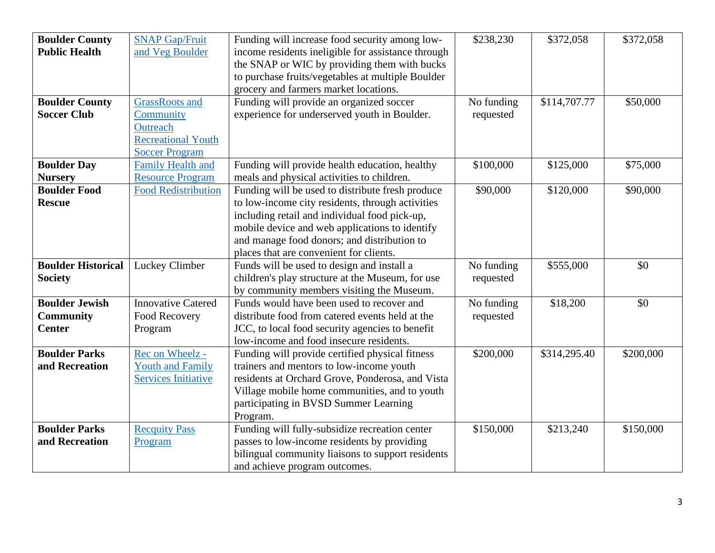| <b>Boulder County</b><br><b>Public Health</b><br><b>Boulder County</b> | <b>SNAP Gap/Fruit</b><br>and Veg Boulder<br><b>GrassRoots</b> and           | Funding will increase food security among low-<br>income residents ineligible for assistance through<br>the SNAP or WIC by providing them with bucks<br>to purchase fruits/vegetables at multiple Boulder<br>grocery and farmers market locations.<br>Funding will provide an organized soccer    | \$238,230<br>No funding | \$372,058<br>\$114,707.77 | \$372,058<br>\$50,000 |
|------------------------------------------------------------------------|-----------------------------------------------------------------------------|---------------------------------------------------------------------------------------------------------------------------------------------------------------------------------------------------------------------------------------------------------------------------------------------------|-------------------------|---------------------------|-----------------------|
| <b>Soccer Club</b>                                                     | Community<br>Outreach<br><b>Recreational Youth</b><br><b>Soccer Program</b> | experience for underserved youth in Boulder.                                                                                                                                                                                                                                                      | requested               |                           |                       |
| <b>Boulder Day</b><br><b>Nursery</b>                                   | <b>Family Health and</b><br><b>Resource Program</b>                         | Funding will provide health education, healthy<br>meals and physical activities to children.                                                                                                                                                                                                      | \$100,000               | \$125,000                 | \$75,000              |
| <b>Boulder Food</b><br><b>Rescue</b>                                   | <b>Food Redistribution</b>                                                  | Funding will be used to distribute fresh produce<br>to low-income city residents, through activities<br>including retail and individual food pick-up,<br>mobile device and web applications to identify<br>and manage food donors; and distribution to<br>places that are convenient for clients. | \$90,000                | \$120,000                 | \$90,000              |
| <b>Boulder Historical</b><br><b>Society</b>                            | Luckey Climber                                                              | Funds will be used to design and install a<br>children's play structure at the Museum, for use<br>by community members visiting the Museum.                                                                                                                                                       | No funding<br>requested | \$555,000                 | \$0                   |
| <b>Boulder Jewish</b><br><b>Community</b><br><b>Center</b>             | <b>Innovative Catered</b><br>Food Recovery<br>Program                       | Funds would have been used to recover and<br>distribute food from catered events held at the<br>JCC, to local food security agencies to benefit<br>low-income and food insecure residents.                                                                                                        | No funding<br>requested | \$18,200                  | \$0                   |
| <b>Boulder Parks</b><br>and Recreation                                 | Rec on Wheelz -<br><b>Youth and Family</b><br><b>Services Initiative</b>    | Funding will provide certified physical fitness<br>trainers and mentors to low-income youth<br>residents at Orchard Grove, Ponderosa, and Vista<br>Village mobile home communities, and to youth<br>participating in BVSD Summer Learning<br>Program.                                             | \$200,000               | \$314,295.40              | \$200,000             |
| <b>Boulder Parks</b><br>and Recreation                                 | <b>Recquity Pass</b><br>Program                                             | Funding will fully-subsidize recreation center<br>passes to low-income residents by providing<br>bilingual community liaisons to support residents<br>and achieve program outcomes.                                                                                                               | \$150,000               | \$213,240                 | \$150,000             |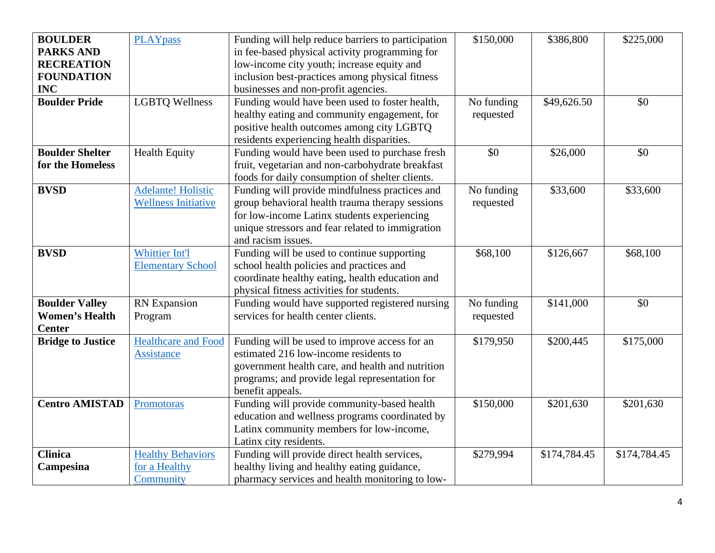| <b>BOULDER</b><br><b>PARKS AND</b><br><b>RECREATION</b><br><b>FOUNDATION</b><br><b>INC</b> | <b>PLAYpass</b>                                         | Funding will help reduce barriers to participation<br>in fee-based physical activity programming for<br>low-income city youth; increase equity and<br>inclusion best-practices among physical fitness<br>businesses and non-profit agencies. | \$150,000               | \$386,800    | \$225,000    |
|--------------------------------------------------------------------------------------------|---------------------------------------------------------|----------------------------------------------------------------------------------------------------------------------------------------------------------------------------------------------------------------------------------------------|-------------------------|--------------|--------------|
| <b>Boulder Pride</b>                                                                       | <b>LGBTQ Wellness</b>                                   | Funding would have been used to foster health,<br>healthy eating and community engagement, for<br>positive health outcomes among city LGBTQ<br>residents experiencing health disparities.                                                    | No funding<br>requested | \$49,626.50  | \$0          |
| <b>Boulder Shelter</b><br>for the Homeless                                                 | <b>Health Equity</b>                                    | Funding would have been used to purchase fresh<br>fruit, vegetarian and non-carbohydrate breakfast<br>foods for daily consumption of shelter clients.                                                                                        | \$0                     | \$26,000     | \$0          |
| <b>BVSD</b>                                                                                | <b>Adelante! Holistic</b><br><b>Wellness Initiative</b> | Funding will provide mindfulness practices and<br>group behavioral health trauma therapy sessions<br>for low-income Latinx students experiencing<br>unique stressors and fear related to immigration<br>and racism issues.                   | No funding<br>requested | \$33,600     | \$33,600     |
| <b>BVSD</b>                                                                                | Whittier Int'l<br><b>Elementary School</b>              | Funding will be used to continue supporting<br>school health policies and practices and<br>coordinate healthy eating, health education and<br>physical fitness activities for students.                                                      | \$68,100                | \$126,667    | \$68,100     |
| <b>Boulder Valley</b><br><b>Women's Health</b><br><b>Center</b>                            | <b>RN</b> Expansion<br>Program                          | Funding would have supported registered nursing<br>services for health center clients.                                                                                                                                                       | No funding<br>requested | \$141,000    | \$0          |
| <b>Bridge to Justice</b>                                                                   | <b>Healthcare and Food</b><br><b>Assistance</b>         | Funding will be used to improve access for an<br>estimated 216 low-income residents to<br>government health care, and health and nutrition<br>programs; and provide legal representation for<br>benefit appeals.                             | \$179,950               | \$200,445    | \$175,000    |
| <b>Centro AMISTAD</b>                                                                      | Promotoras                                              | Funding will provide community-based health<br>education and wellness programs coordinated by<br>Latinx community members for low-income,<br>Latinx city residents.                                                                          | \$150,000               | \$201,630    | \$201,630    |
| <b>Clinica</b><br>Campesina                                                                | <b>Healthy Behaviors</b><br>for a Healthy<br>Community  | Funding will provide direct health services,<br>healthy living and healthy eating guidance,<br>pharmacy services and health monitoring to low-                                                                                               | \$279,994               | \$174,784.45 | \$174,784.45 |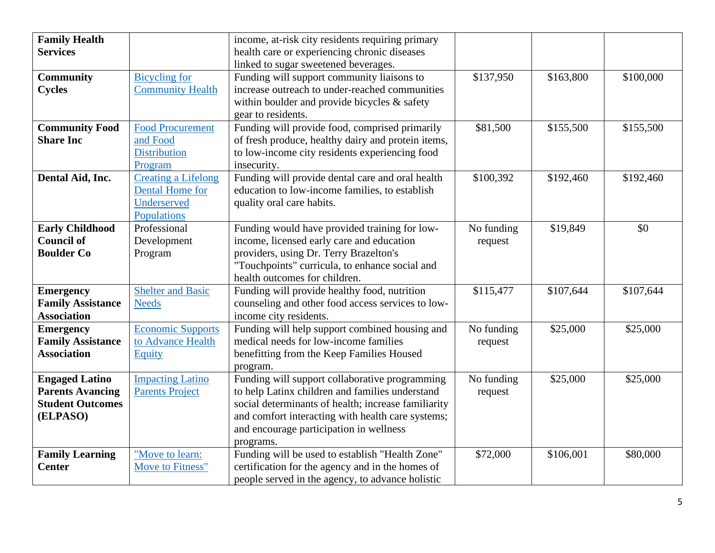| <b>Family Health</b><br><b>Services</b> |                            | income, at-risk city residents requiring primary<br>health care or experiencing chronic diseases |            |           |           |
|-----------------------------------------|----------------------------|--------------------------------------------------------------------------------------------------|------------|-----------|-----------|
|                                         |                            | linked to sugar sweetened beverages.                                                             |            |           |           |
| <b>Community</b>                        | <b>Bicycling</b> for       | Funding will support community liaisons to                                                       | \$137,950  | \$163,800 | \$100,000 |
| <b>Cycles</b>                           | <b>Community Health</b>    | increase outreach to under-reached communities                                                   |            |           |           |
|                                         |                            | within boulder and provide bicycles & safety                                                     |            |           |           |
|                                         |                            | gear to residents.                                                                               |            |           |           |
| <b>Community Food</b>                   | <b>Food Procurement</b>    | Funding will provide food, comprised primarily                                                   | \$81,500   | \$155,500 | \$155,500 |
| <b>Share Inc</b>                        | and Food                   | of fresh produce, healthy dairy and protein items,                                               |            |           |           |
|                                         | <b>Distribution</b>        | to low-income city residents experiencing food                                                   |            |           |           |
|                                         | Program                    | insecurity.                                                                                      |            |           |           |
| Dental Aid, Inc.                        | <b>Creating a Lifelong</b> | Funding will provide dental care and oral health                                                 | \$100,392  | \$192,460 | \$192,460 |
|                                         | Dental Home for            | education to low-income families, to establish                                                   |            |           |           |
|                                         | Underserved                | quality oral care habits.                                                                        |            |           |           |
|                                         | Populations                |                                                                                                  |            |           |           |
| <b>Early Childhood</b>                  | Professional               | Funding would have provided training for low-                                                    | No funding | \$19,849  | \$0       |
| <b>Council of</b>                       | Development                | income, licensed early care and education                                                        | request    |           |           |
| <b>Boulder Co</b>                       | Program                    | providers, using Dr. Terry Brazelton's                                                           |            |           |           |
|                                         |                            | "Touchpoints" curricula, to enhance social and                                                   |            |           |           |
|                                         |                            | health outcomes for children.                                                                    |            |           |           |
| <b>Emergency</b>                        | <b>Shelter and Basic</b>   | Funding will provide healthy food, nutrition                                                     | \$115,477  | \$107,644 | \$107,644 |
| <b>Family Assistance</b>                | <b>Needs</b>               | counseling and other food access services to low-                                                |            |           |           |
| <b>Association</b>                      |                            | income city residents.                                                                           |            |           |           |
| <b>Emergency</b>                        | <b>Economic Supports</b>   | Funding will help support combined housing and                                                   | No funding | \$25,000  | \$25,000  |
| <b>Family Assistance</b>                | to Advance Health          | medical needs for low-income families                                                            | request    |           |           |
| <b>Association</b>                      | Equity                     | benefitting from the Keep Families Housed                                                        |            |           |           |
|                                         |                            | program.                                                                                         |            |           |           |
| <b>Engaged Latino</b>                   | <b>Impacting Latino</b>    | Funding will support collaborative programming                                                   | No funding | \$25,000  | \$25,000  |
| <b>Parents Avancing</b>                 | <b>Parents Project</b>     | to help Latinx children and families understand                                                  | request    |           |           |
| <b>Student Outcomes</b>                 |                            | social determinants of health; increase familiarity                                              |            |           |           |
| (ELPASO)                                |                            | and comfort interacting with health care systems;                                                |            |           |           |
|                                         |                            | and encourage participation in wellness                                                          |            |           |           |
|                                         |                            | programs.                                                                                        |            |           |           |
| <b>Family Learning</b>                  | "Move to learn:            | Funding will be used to establish "Health Zone"                                                  | \$72,000   | \$106,001 | \$80,000  |
| <b>Center</b>                           | Move to Fitness"           | certification for the agency and in the homes of                                                 |            |           |           |
|                                         |                            | people served in the agency, to advance holistic                                                 |            |           |           |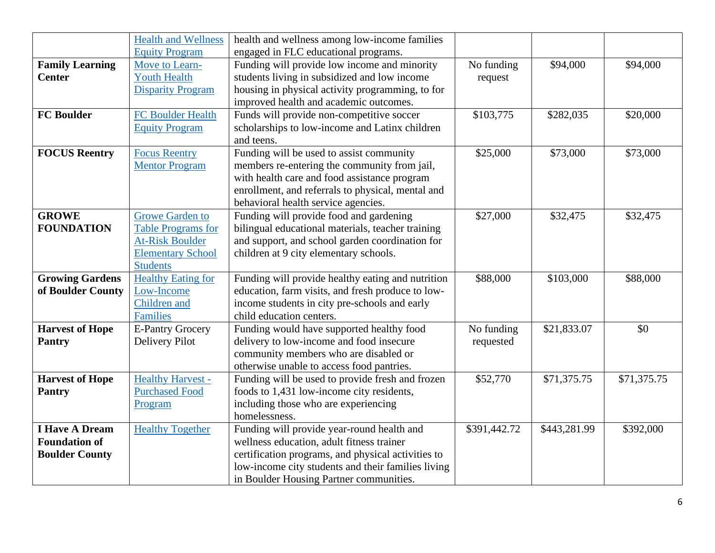|                        | <b>Health and Wellness</b> | health and wellness among low-income families      |              |              |             |
|------------------------|----------------------------|----------------------------------------------------|--------------|--------------|-------------|
|                        | <b>Equity Program</b>      | engaged in FLC educational programs.               |              |              |             |
| <b>Family Learning</b> | Move to Learn-             | Funding will provide low income and minority       | No funding   | \$94,000     | \$94,000    |
| <b>Center</b>          | <b>Youth Health</b>        | students living in subsidized and low income       | request      |              |             |
|                        | <b>Disparity Program</b>   | housing in physical activity programming, to for   |              |              |             |
|                        |                            | improved health and academic outcomes.             |              |              |             |
| <b>FC Boulder</b>      | FC Boulder Health          | Funds will provide non-competitive soccer          | \$103,775    | \$282,035    | \$20,000    |
|                        | <b>Equity Program</b>      | scholarships to low-income and Latinx children     |              |              |             |
|                        |                            | and teens.                                         |              |              |             |
| <b>FOCUS Reentry</b>   | <b>Focus Reentry</b>       | Funding will be used to assist community           | \$25,000     | \$73,000     | \$73,000    |
|                        | <b>Mentor Program</b>      | members re-entering the community from jail,       |              |              |             |
|                        |                            | with health care and food assistance program       |              |              |             |
|                        |                            | enrollment, and referrals to physical, mental and  |              |              |             |
|                        |                            | behavioral health service agencies.                |              |              |             |
| <b>GROWE</b>           | Growe Garden to            | Funding will provide food and gardening            | \$27,000     | \$32,475     | \$32,475    |
| <b>FOUNDATION</b>      | <b>Table Programs for</b>  | bilingual educational materials, teacher training  |              |              |             |
|                        | <b>At-Risk Boulder</b>     | and support, and school garden coordination for    |              |              |             |
|                        | <b>Elementary School</b>   | children at 9 city elementary schools.             |              |              |             |
|                        | <b>Students</b>            |                                                    |              |              |             |
| <b>Growing Gardens</b> | <b>Healthy Eating for</b>  | Funding will provide healthy eating and nutrition  | \$88,000     | \$103,000    | \$88,000    |
| of Boulder County      | Low-Income                 | education, farm visits, and fresh produce to low-  |              |              |             |
|                        | Children and               | income students in city pre-schools and early      |              |              |             |
|                        | Families                   | child education centers.                           |              |              |             |
| <b>Harvest of Hope</b> | <b>E-Pantry Grocery</b>    | Funding would have supported healthy food          | No funding   | \$21,833.07  | \$0         |
| <b>Pantry</b>          | <b>Delivery Pilot</b>      | delivery to low-income and food insecure           | requested    |              |             |
|                        |                            | community members who are disabled or              |              |              |             |
|                        |                            | otherwise unable to access food pantries.          |              |              |             |
| <b>Harvest of Hope</b> | <b>Healthy Harvest -</b>   | Funding will be used to provide fresh and frozen   | \$52,770     | \$71,375.75  | \$71,375.75 |
| <b>Pantry</b>          | <b>Purchased Food</b>      | foods to 1,431 low-income city residents,          |              |              |             |
|                        | Program                    | including those who are experiencing               |              |              |             |
|                        |                            | homelessness.                                      |              |              |             |
| <b>I Have A Dream</b>  | <b>Healthy Together</b>    | Funding will provide year-round health and         | \$391,442.72 | \$443,281.99 | \$392,000   |
| <b>Foundation of</b>   |                            | wellness education, adult fitness trainer          |              |              |             |
| <b>Boulder County</b>  |                            | certification programs, and physical activities to |              |              |             |
|                        |                            | low-income city students and their families living |              |              |             |
|                        |                            | in Boulder Housing Partner communities.            |              |              |             |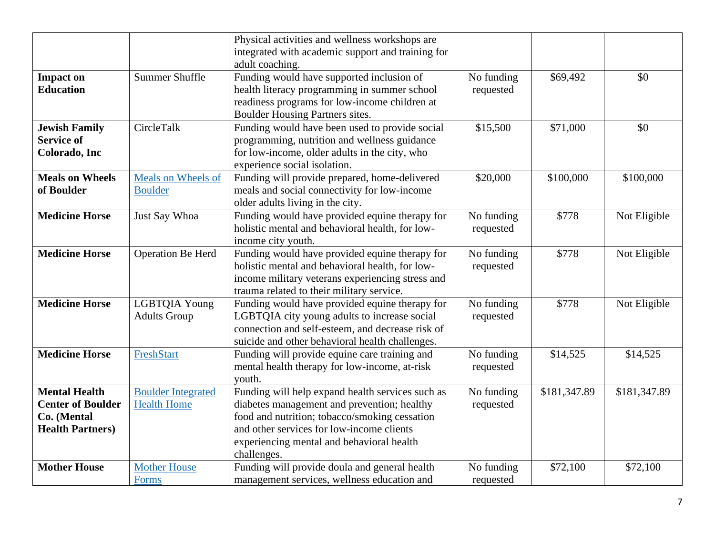|                                                                                            |                                                 | Physical activities and wellness workshops are<br>integrated with academic support and training for<br>adult coaching.                                                                                                                                    |                         |              |              |
|--------------------------------------------------------------------------------------------|-------------------------------------------------|-----------------------------------------------------------------------------------------------------------------------------------------------------------------------------------------------------------------------------------------------------------|-------------------------|--------------|--------------|
| <b>Impact on</b><br><b>Education</b>                                                       | <b>Summer Shuffle</b>                           | Funding would have supported inclusion of<br>health literacy programming in summer school<br>readiness programs for low-income children at<br>Boulder Housing Partners sites.                                                                             | No funding<br>requested | \$69,492     | \$0          |
| <b>Jewish Family</b><br><b>Service of</b><br>Colorado, Inc                                 | CircleTalk                                      | Funding would have been used to provide social<br>programming, nutrition and wellness guidance<br>for low-income, older adults in the city, who<br>experience social isolation.                                                                           | \$15,500                | \$71,000     | \$0          |
| <b>Meals on Wheels</b><br>of Boulder                                                       | Meals on Wheels of<br><b>Boulder</b>            | Funding will provide prepared, home-delivered<br>meals and social connectivity for low-income<br>older adults living in the city.                                                                                                                         | \$20,000                | \$100,000    | \$100,000    |
| <b>Medicine Horse</b>                                                                      | Just Say Whoa                                   | Funding would have provided equine therapy for<br>holistic mental and behavioral health, for low-<br>income city youth.                                                                                                                                   | No funding<br>requested | \$778        | Not Eligible |
| <b>Medicine Horse</b>                                                                      | Operation Be Herd                               | Funding would have provided equine therapy for<br>holistic mental and behavioral health, for low-<br>income military veterans experiencing stress and<br>trauma related to their military service.                                                        | No funding<br>requested | \$778        | Not Eligible |
| <b>Medicine Horse</b>                                                                      | <b>LGBTQIA Young</b><br><b>Adults Group</b>     | Funding would have provided equine therapy for<br>LGBTQIA city young adults to increase social<br>connection and self-esteem, and decrease risk of<br>suicide and other behavioral health challenges.                                                     | No funding<br>requested | \$778        | Not Eligible |
| <b>Medicine Horse</b>                                                                      | FreshStart                                      | Funding will provide equine care training and<br>mental health therapy for low-income, at-risk<br>youth.                                                                                                                                                  | No funding<br>requested | \$14,525     | \$14,525     |
| <b>Mental Health</b><br><b>Center of Boulder</b><br>Co. (Mental<br><b>Health Partners)</b> | <b>Boulder Integrated</b><br><b>Health Home</b> | Funding will help expand health services such as<br>diabetes management and prevention; healthy<br>food and nutrition; tobacco/smoking cessation<br>and other services for low-income clients<br>experiencing mental and behavioral health<br>challenges. | No funding<br>requested | \$181,347.89 | \$181,347.89 |
| <b>Mother House</b>                                                                        | <b>Mother House</b><br>Forms                    | Funding will provide doula and general health<br>management services, wellness education and                                                                                                                                                              | No funding<br>requested | \$72,100     | \$72,100     |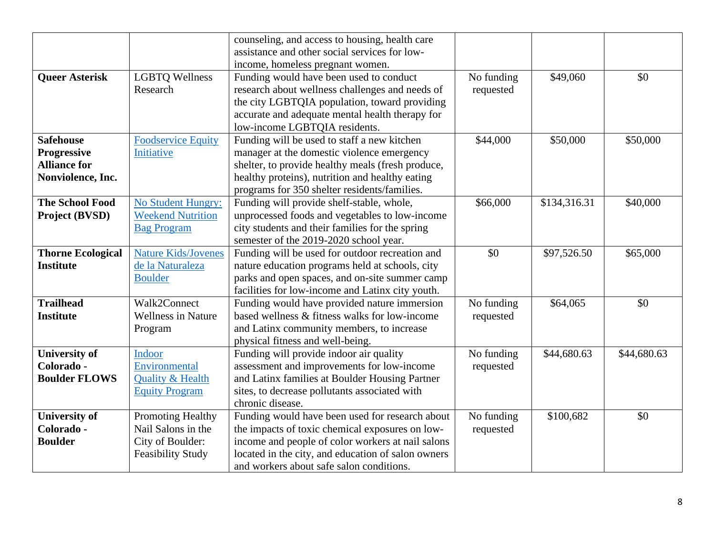|                          |                             | counseling, and access to housing, health care<br>assistance and other social services for low- |            |              |             |
|--------------------------|-----------------------------|-------------------------------------------------------------------------------------------------|------------|--------------|-------------|
|                          |                             | income, homeless pregnant women.                                                                |            |              |             |
| <b>Queer Asterisk</b>    | <b>LGBTQ Wellness</b>       | Funding would have been used to conduct                                                         | No funding | \$49,060     | \$0         |
|                          | Research                    | research about wellness challenges and needs of                                                 | requested  |              |             |
|                          |                             | the city LGBTQIA population, toward providing                                                   |            |              |             |
|                          |                             | accurate and adequate mental health therapy for                                                 |            |              |             |
|                          |                             | low-income LGBTQIA residents.                                                                   |            |              |             |
| <b>Safehouse</b>         | <b>Foodservice Equity</b>   | Funding will be used to staff a new kitchen                                                     | \$44,000   | \$50,000     | \$50,000    |
| Progressive              | Initiative                  | manager at the domestic violence emergency                                                      |            |              |             |
| <b>Alliance for</b>      |                             | shelter, to provide healthy meals (fresh produce,                                               |            |              |             |
| Nonviolence, Inc.        |                             | healthy proteins), nutrition and healthy eating                                                 |            |              |             |
|                          |                             | programs for 350 shelter residents/families.                                                    |            |              |             |
| <b>The School Food</b>   | <b>No Student Hungry:</b>   | Funding will provide shelf-stable, whole,                                                       | \$66,000   | \$134,316.31 | \$40,000    |
| Project (BVSD)           | <b>Weekend Nutrition</b>    | unprocessed foods and vegetables to low-income                                                  |            |              |             |
|                          | <b>Bag Program</b>          | city students and their families for the spring                                                 |            |              |             |
|                          |                             | semester of the 2019-2020 school year.                                                          |            |              |             |
| <b>Thorne Ecological</b> | <b>Nature Kids/Jovenes</b>  | Funding will be used for outdoor recreation and                                                 | \$0        | \$97,526.50  | \$65,000    |
| <b>Institute</b>         | de la Naturaleza            | nature education programs held at schools, city                                                 |            |              |             |
|                          | <b>Boulder</b>              | parks and open spaces, and on-site summer camp                                                  |            |              |             |
|                          |                             | facilities for low-income and Latinx city youth.                                                |            |              |             |
| <b>Trailhead</b>         | Walk2Connect                | Funding would have provided nature immersion                                                    | No funding | \$64,065     | \$0         |
| <b>Institute</b>         | <b>Wellness in Nature</b>   | based wellness & fitness walks for low-income                                                   | requested  |              |             |
|                          | Program                     | and Latinx community members, to increase                                                       |            |              |             |
|                          |                             | physical fitness and well-being.                                                                |            |              |             |
| <b>University of</b>     | Indoor                      | Funding will provide indoor air quality                                                         | No funding | \$44,680.63  | \$44,680.63 |
| Colorado -               | Environmental               | assessment and improvements for low-income                                                      | requested  |              |             |
| <b>Boulder FLOWS</b>     | <b>Quality &amp; Health</b> | and Latinx families at Boulder Housing Partner                                                  |            |              |             |
|                          | <b>Equity Program</b>       | sites, to decrease pollutants associated with                                                   |            |              |             |
|                          |                             | chronic disease.                                                                                |            |              |             |
| <b>University of</b>     | Promoting Healthy           | Funding would have been used for research about                                                 | No funding | \$100,682    | \$0         |
| Colorado -               | Nail Salons in the          | the impacts of toxic chemical exposures on low-                                                 | requested  |              |             |
| <b>Boulder</b>           | City of Boulder:            | income and people of color workers at nail salons                                               |            |              |             |
|                          | <b>Feasibility Study</b>    | located in the city, and education of salon owners                                              |            |              |             |
|                          |                             | and workers about safe salon conditions.                                                        |            |              |             |